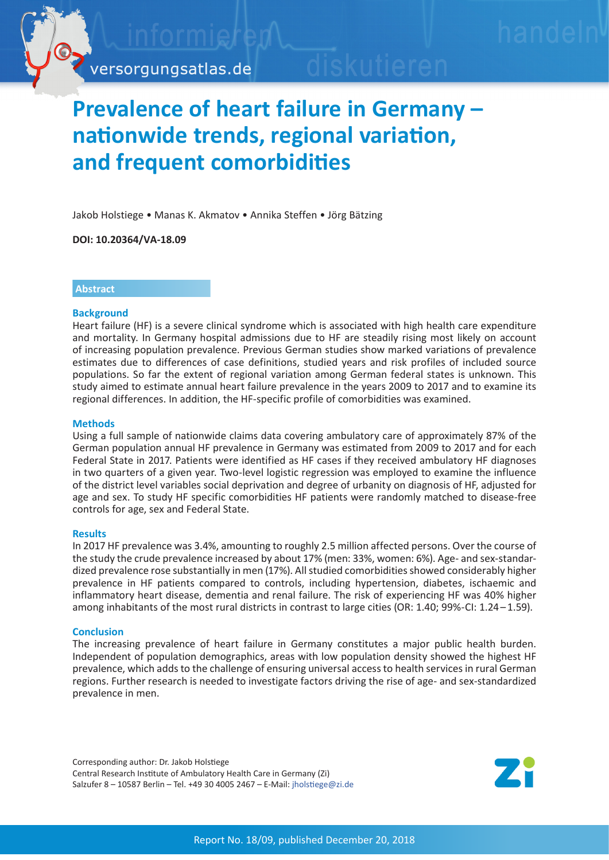

# **Prevalence of heart failure in Germany – nationwide trends, regional variation, and frequent comorbidities**

Jakob Holstiege • Manas K. Akmatov • Annika Steffen • Jörg Bätzing

**DOI: 10.20364/VA-18.09**

# **Abstract**

## **Background**

Heart failure (HF) is a severe clinical syndrome which is associated with high health care expenditure and mortality. In Germany hospital admissions due to HF are steadily rising most likely on account of increasing population prevalence. Previous German studies show marked variations of prevalence estimates due to differences of case definitions, studied years and risk profiles of included source populations. So far the extent of regional variation among German federal states is unknown. This study aimed to estimate annual heart failure prevalence in the years 2009 to 2017 and to examine its regional differences. In addition, the HF-specific profile of comorbidities was examined.

## **Methods**

Using a full sample of nationwide claims data covering ambulatory care of approximately 87% of the German population annual HF prevalence in Germany was estimated from 2009 to 2017 and for each Federal State in 2017. Patients were identified as HF cases if they received ambulatory HF diagnoses in two quarters of a given year. Two-level logistic regression was employed to examine the influence of the district level variables social deprivation and degree of urbanity on diagnosis of HF, adjusted for age and sex. To study HF specific comorbidities HF patients were randomly matched to disease-free controls for age, sex and Federal State.

#### **Results**

In 2017 HF prevalence was 3.4%, amounting to roughly 2.5 million affected persons. Over the course of the study the crude prevalence increased by about 17% (men: 33%, women: 6%). Age- and sex-standardized prevalence rose substantially in men (17%). All studied comorbidities showed considerably higher prevalence in HF patients compared to controls, including hypertension, diabetes, ischaemic and inflammatory heart disease, dementia and renal failure. The risk of experiencing HF was 40% higher among inhabitants of the most rural districts in contrast to large cities (OR: 1.40; 99%-CI: 1.24–1.59).

#### **Conclusion**

The increasing prevalence of heart failure in Germany constitutes a major public health burden. Independent of population demographics, areas with low population density showed the highest HF prevalence, which adds to the challenge of ensuring universal access to health services in rural German regions. Further research is needed to investigate factors driving the rise of age- and sex-standardized prevalence in men.

Corresponding author: Dr. Jakob Holstiege Central Research Institute of Ambulatory Health Care in Germany (Zi) Salzufer 8 – 10587 Berlin – Tel. +49 30 4005 2467 – E-Mail: jholstiege[@zi.de](mailto:jholstiege%40zi.de?subject=VA-Bericht%2018/09%20Herzinsuffizienz)